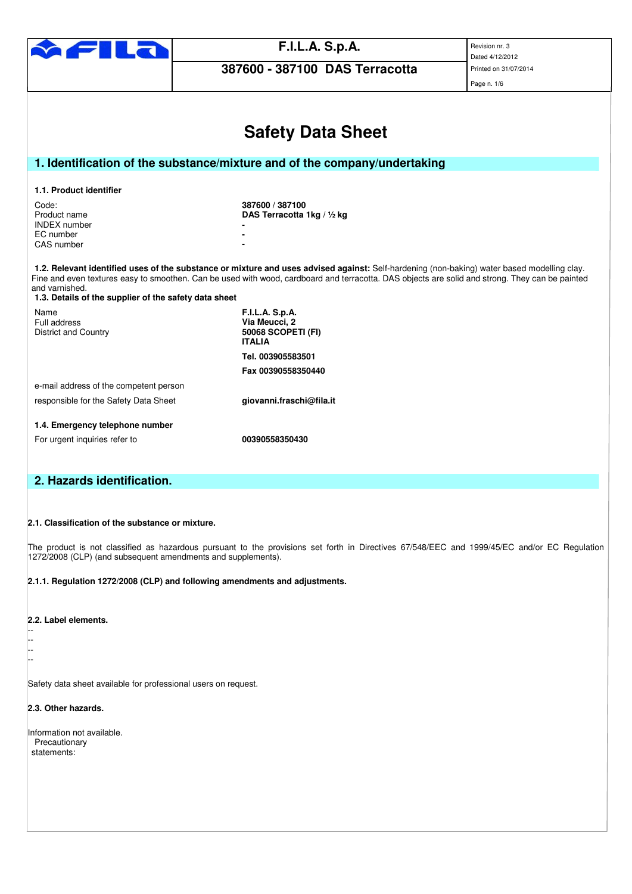

**387600 - 387100 DAS Terracotta** 

Dated 4/12/2012 Page n. 1/6

|                                                                                                                                                                                                                                                                                                                                                                           | <b>Safety Data Sheet</b>                                                       |  |  |  |  |
|---------------------------------------------------------------------------------------------------------------------------------------------------------------------------------------------------------------------------------------------------------------------------------------------------------------------------------------------------------------------------|--------------------------------------------------------------------------------|--|--|--|--|
|                                                                                                                                                                                                                                                                                                                                                                           |                                                                                |  |  |  |  |
| 1. Identification of the substance/mixture and of the company/undertaking                                                                                                                                                                                                                                                                                                 |                                                                                |  |  |  |  |
| 1.1. Product identifier                                                                                                                                                                                                                                                                                                                                                   |                                                                                |  |  |  |  |
| Code:<br>Product name<br><b>INDEX</b> number<br>EC number<br>CAS number                                                                                                                                                                                                                                                                                                   | 387600 / 387100<br>DAS Terracotta 1kg / 1/2 kg                                 |  |  |  |  |
| 1.2. Relevant identified uses of the substance or mixture and uses advised against: Self-hardening (non-baking) water based modelling clay.<br>Fine and even textures easy to smoothen. Can be used with wood, cardboard and terracotta. DAS objects are solid and strong. They can be painted<br>and varnished.<br>1.3. Details of the supplier of the safety data sheet |                                                                                |  |  |  |  |
| Name<br>Full address<br><b>District and Country</b>                                                                                                                                                                                                                                                                                                                       | <b>F.I.L.A. S.p.A.</b><br>Via Meucci, 2<br>50068 SCOPETI (FI)<br><b>ITALIA</b> |  |  |  |  |
|                                                                                                                                                                                                                                                                                                                                                                           | Tel. 003905583501                                                              |  |  |  |  |
|                                                                                                                                                                                                                                                                                                                                                                           | Fax 00390558350440                                                             |  |  |  |  |
| e-mail address of the competent person                                                                                                                                                                                                                                                                                                                                    |                                                                                |  |  |  |  |
| responsible for the Safety Data Sheet                                                                                                                                                                                                                                                                                                                                     | giovanni.fraschi@fila.it                                                       |  |  |  |  |
| 1.4. Emergency telephone number                                                                                                                                                                                                                                                                                                                                           |                                                                                |  |  |  |  |
| For urgent inquiries refer to                                                                                                                                                                                                                                                                                                                                             | 00390558350430                                                                 |  |  |  |  |
|                                                                                                                                                                                                                                                                                                                                                                           |                                                                                |  |  |  |  |
| 2. Hazards identification.                                                                                                                                                                                                                                                                                                                                                |                                                                                |  |  |  |  |

**2.1. Classification of the substance or mixture.** 

The product is not classified as hazardous pursuant to the provisions set forth in Directives 67/548/EEC and 1999/45/EC and/or EC Regulation 1272/2008 (CLP) (and subsequent amendments and supplements).

**2.1.1. Regulation 1272/2008 (CLP) and following amendments and adjustments.** 

**2.2. Label elements.** 

-- -- -- --

Safety data sheet available for professional users on request.

**2.3. Other hazards.** 

Information not available. **Precautionary** statements: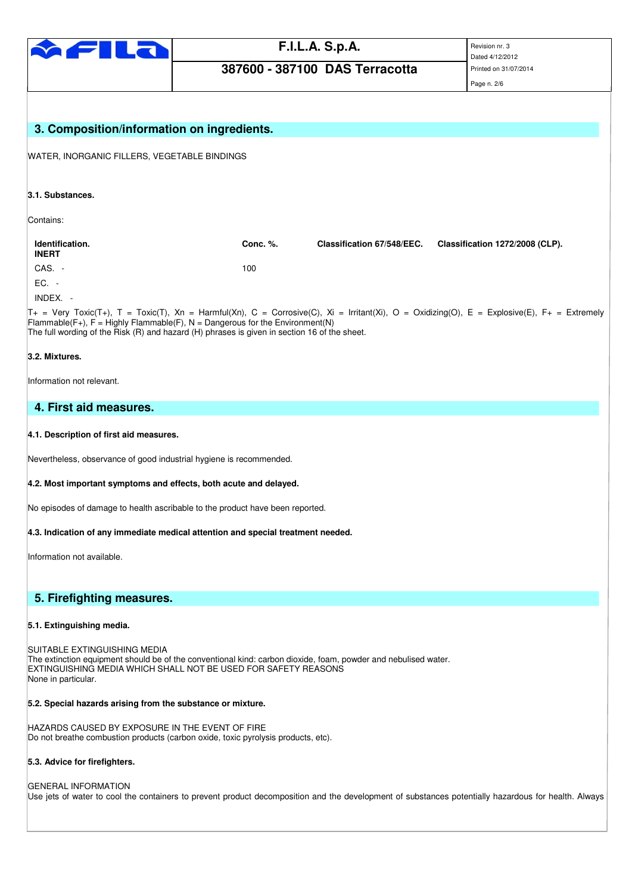

# **387600 - 387100 DAS Terracotta**

Dated 4/12/2012

Page n. 2/6

| 3. Composition/information on ingredients.                                                                                                                                                                                                                                                                                        |          |                            |                                 |  |  |
|-----------------------------------------------------------------------------------------------------------------------------------------------------------------------------------------------------------------------------------------------------------------------------------------------------------------------------------|----------|----------------------------|---------------------------------|--|--|
| WATER, INORGANIC FILLERS, VEGETABLE BINDINGS                                                                                                                                                                                                                                                                                      |          |                            |                                 |  |  |
| 3.1. Substances.                                                                                                                                                                                                                                                                                                                  |          |                            |                                 |  |  |
| Contains:                                                                                                                                                                                                                                                                                                                         |          |                            |                                 |  |  |
| Identification.<br><b>INERT</b>                                                                                                                                                                                                                                                                                                   | Conc. %. | Classification 67/548/EEC. | Classification 1272/2008 (CLP). |  |  |
| CAS. -                                                                                                                                                                                                                                                                                                                            | 100      |                            |                                 |  |  |
| EC. -                                                                                                                                                                                                                                                                                                                             |          |                            |                                 |  |  |
| INDEX. -                                                                                                                                                                                                                                                                                                                          |          |                            |                                 |  |  |
| $T_+$ = Very Toxic(T+), T = Toxic(T), Xn = Harmful(Xn), C = Corrosive(C), Xi = Irritant(Xi), O = Oxidizing(O), E = Explosive(E), F+ = Extremely<br>Flammable(F+), $F =$ Highly Flammable(F), N = Dangerous for the Environment(N)<br>The full wording of the Risk (R) and hazard (H) phrases is given in section 16 of the sheet. |          |                            |                                 |  |  |
| 3.2. Mixtures.                                                                                                                                                                                                                                                                                                                    |          |                            |                                 |  |  |
| Information not relevant.                                                                                                                                                                                                                                                                                                         |          |                            |                                 |  |  |
| 4. First aid measures.                                                                                                                                                                                                                                                                                                            |          |                            |                                 |  |  |
| 4.1. Description of first aid measures.                                                                                                                                                                                                                                                                                           |          |                            |                                 |  |  |
| Nevertheless, observance of good industrial hygiene is recommended.                                                                                                                                                                                                                                                               |          |                            |                                 |  |  |
| 4.2. Most important symptoms and effects, both acute and delayed.                                                                                                                                                                                                                                                                 |          |                            |                                 |  |  |
| No episodes of damage to health ascribable to the product have been reported.                                                                                                                                                                                                                                                     |          |                            |                                 |  |  |
| 4.3. Indication of any immediate medical attention and special treatment needed.                                                                                                                                                                                                                                                  |          |                            |                                 |  |  |
| Information not available.                                                                                                                                                                                                                                                                                                        |          |                            |                                 |  |  |
| 5. Firefighting measures.                                                                                                                                                                                                                                                                                                         |          |                            |                                 |  |  |
| 5.1. Extinguishing media.                                                                                                                                                                                                                                                                                                         |          |                            |                                 |  |  |
| SUITABLE EXTINGUISHING MEDIA<br>The extinction equipment should be of the conventional kind: carbon dioxide, foam, powder and nebulised water.<br>EXTINGUISHING MEDIA WHICH SHALL NOT BE USED FOR SAFETY REASONS<br>None in particular.                                                                                           |          |                            |                                 |  |  |
| 5.2. Special hazards arising from the substance or mixture.                                                                                                                                                                                                                                                                       |          |                            |                                 |  |  |
| HAZARDS CAUSED BY EXPOSURE IN THE EVENT OF FIRE<br>Do not breathe combustion products (carbon oxide, toxic pyrolysis products, etc).                                                                                                                                                                                              |          |                            |                                 |  |  |
| 5.3. Advice for firefighters.                                                                                                                                                                                                                                                                                                     |          |                            |                                 |  |  |
| <b>GENERAL INFORMATION</b><br>Use jets of water to cool the containers to prevent product decomposition and the development of substances potentially hazardous for health. Always                                                                                                                                                |          |                            |                                 |  |  |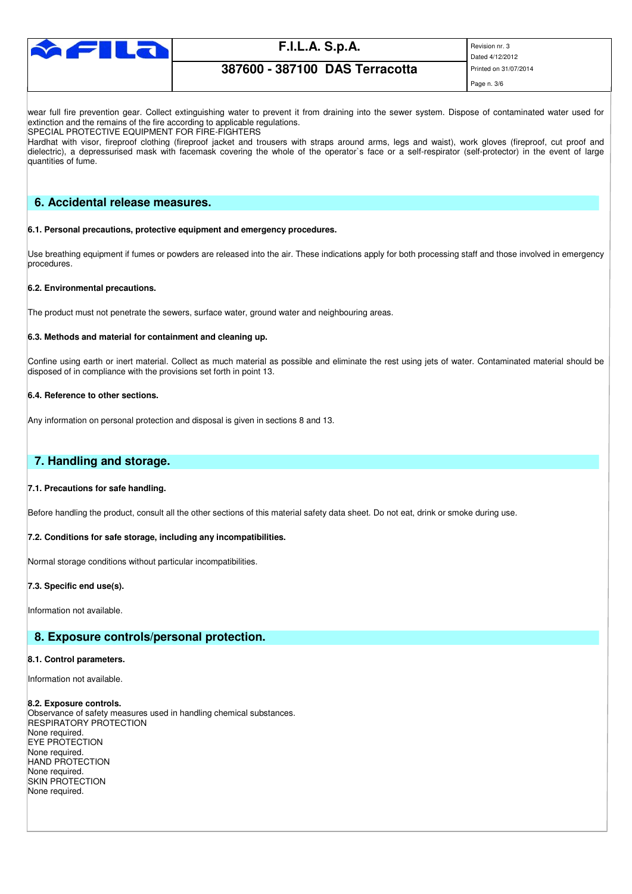

Dated 4/12/2012 Page n. 3/6

## **387600 - 387100 DAS Terracotta** Printed on 31/07/2014

wear full fire prevention gear. Collect extinguishing water to prevent it from draining into the sewer system. Dispose of contaminated water used for extinction and the remains of the fire according to applicable regulations.

SPECIAL PROTECTIVE EQUIPMENT FOR FIRE-FIGHTERS

Hardhat with visor, fireproof clothing (fireproof jacket and trousers with straps around arms, legs and waist), work gloves (fireproof, cut proof and dielectric), a depressurised mask with facemask covering the whole of the operator`s face or a self-respirator (self-protector) in the event of large quantities of fume.

## **6. Accidental release measures.**

#### **6.1. Personal precautions, protective equipment and emergency procedures.**

Use breathing equipment if fumes or powders are released into the air. These indications apply for both processing staff and those involved in emergency procedures.

#### **6.2. Environmental precautions.**

The product must not penetrate the sewers, surface water, ground water and neighbouring areas.

#### **6.3. Methods and material for containment and cleaning up.**

Confine using earth or inert material. Collect as much material as possible and eliminate the rest using jets of water. Contaminated material should be disposed of in compliance with the provisions set forth in point 13.

### **6.4. Reference to other sections.**

Any information on personal protection and disposal is given in sections 8 and 13.

## **7. Handling and storage.**

### **7.1. Precautions for safe handling.**

Before handling the product, consult all the other sections of this material safety data sheet. Do not eat, drink or smoke during use.

### **7.2. Conditions for safe storage, including any incompatibilities.**

Normal storage conditions without particular incompatibilities.

### **7.3. Specific end use(s).**

Information not available.

## **8. Exposure controls/personal protection.**

#### **8.1. Control parameters.**

Information not available.

#### **8.2. Exposure controls.**

Observance of safety measures used in handling chemical substances. RESPIRATORY PROTECTION None required. EYE PROTECTION None required. HAND PROTECTION None required. SKIN PROTECTION None required.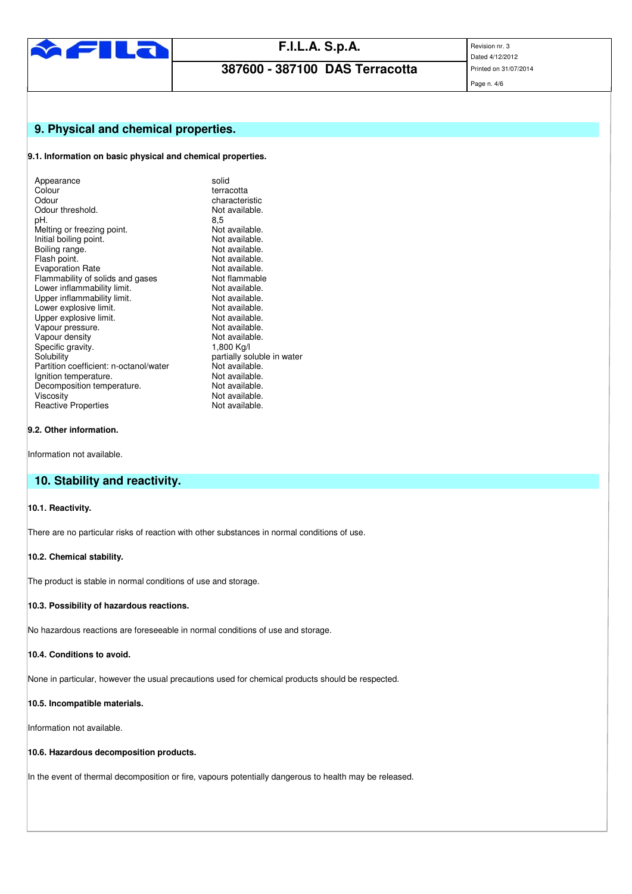

**387600 - 387100 DAS Terracotta** 

Dated 4/12/2012

## Page n. 4/6

## **9. Physical and chemical properties.**

## **9.1. Information on basic physical and chemical properties.**

| Appearance                             | solid                      |
|----------------------------------------|----------------------------|
| Colour                                 | terracotta                 |
| Odour                                  | characteristic             |
| Odour threshold.                       | Not available.             |
| pH.                                    | 8,5                        |
| Melting or freezing point.             | Not available.             |
| Initial boiling point.                 | Not available.             |
| Boiling range.                         | Not available.             |
| Flash point.                           | Not available.             |
| <b>Evaporation Rate</b>                | Not available.             |
| Flammability of solids and gases       | Not flammable              |
| Lower inflammability limit.            | Not available.             |
| Upper inflammability limit.            | Not available.             |
| Lower explosive limit.                 | Not available.             |
| Upper explosive limit.                 | Not available.             |
| Vapour pressure.                       | Not available.             |
| Vapour density                         | Not available.             |
| Specific gravity.                      | 1,800 Kg/l                 |
| Solubility                             | partially soluble in water |
| Partition coefficient: n-octanol/water | Not available.             |
| Ignition temperature.                  | Not available.             |
| Decomposition temperature.             | Not available.             |
| Viscosity                              | Not available.             |
| <b>Reactive Properties</b>             | Not available.             |
|                                        |                            |

## **9.2. Other information.**

Information not available.

## **10. Stability and reactivity.**

## **10.1. Reactivity.**

There are no particular risks of reaction with other substances in normal conditions of use.

#### **10.2. Chemical stability.**

The product is stable in normal conditions of use and storage.

#### **10.3. Possibility of hazardous reactions.**

No hazardous reactions are foreseeable in normal conditions of use and storage.

## **10.4. Conditions to avoid.**

None in particular, however the usual precautions used for chemical products should be respected.

## **10.5. Incompatible materials.**

Information not available.

## **10.6. Hazardous decomposition products.**

In the event of thermal decomposition or fire, vapours potentially dangerous to health may be released.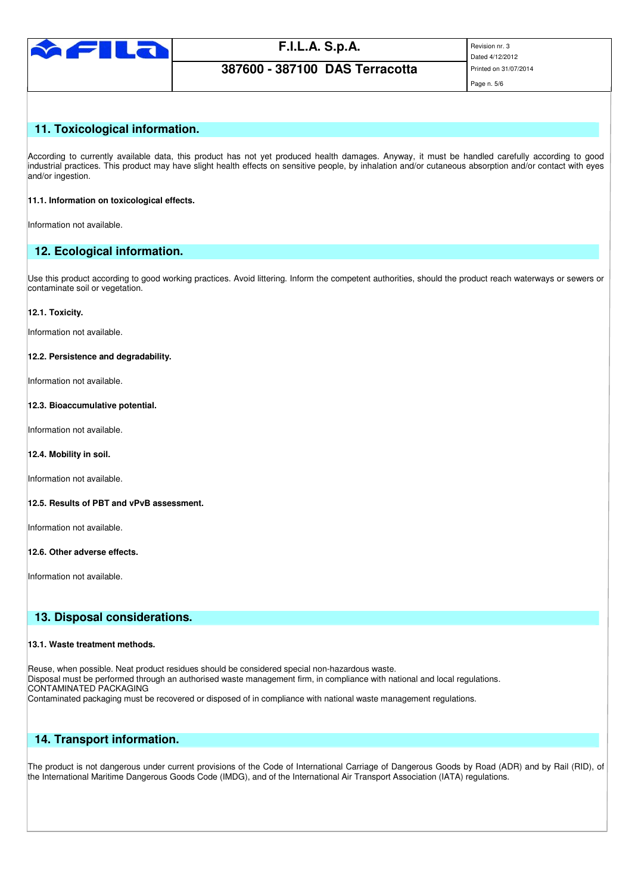

**387600 - 387100 DAS Terracotta** Printed on 31/07/2014

Dated 4/12/2012

## Page n. 5/6

## **11. Toxicological information.**

According to currently available data, this product has not yet produced health damages. Anyway, it must be handled carefully according to good industrial practices. This product may have slight health effects on sensitive people, by inhalation and/or cutaneous absorption and/or contact with eyes and/or ingestion.

### **11.1. Information on toxicological effects.**

Information not available.

## **12. Ecological information.**

Use this product according to good working practices. Avoid littering. Inform the competent authorities, should the product reach waterways or sewers or contaminate soil or vegetation.

### **12.1. Toxicity.**

Information not available.

### **12.2. Persistence and degradability.**

Information not available.

## **12.3. Bioaccumulative potential.**

Information not available.

### **12.4. Mobility in soil.**

Information not available.

### **12.5. Results of PBT and vPvB assessment.**

Information not available.

### **12.6. Other adverse effects.**

Information not available.

## **13. Disposal considerations.**

### **13.1. Waste treatment methods.**

Reuse, when possible. Neat product residues should be considered special non-hazardous waste. Disposal must be performed through an authorised waste management firm, in compliance with national and local regulations. CONTAMINATED PACKAGING Contaminated packaging must be recovered or disposed of in compliance with national waste management regulations.

## **14. Transport information.**

The product is not dangerous under current provisions of the Code of International Carriage of Dangerous Goods by Road (ADR) and by Rail (RID), of the International Maritime Dangerous Goods Code (IMDG), and of the International Air Transport Association (IATA) regulations.